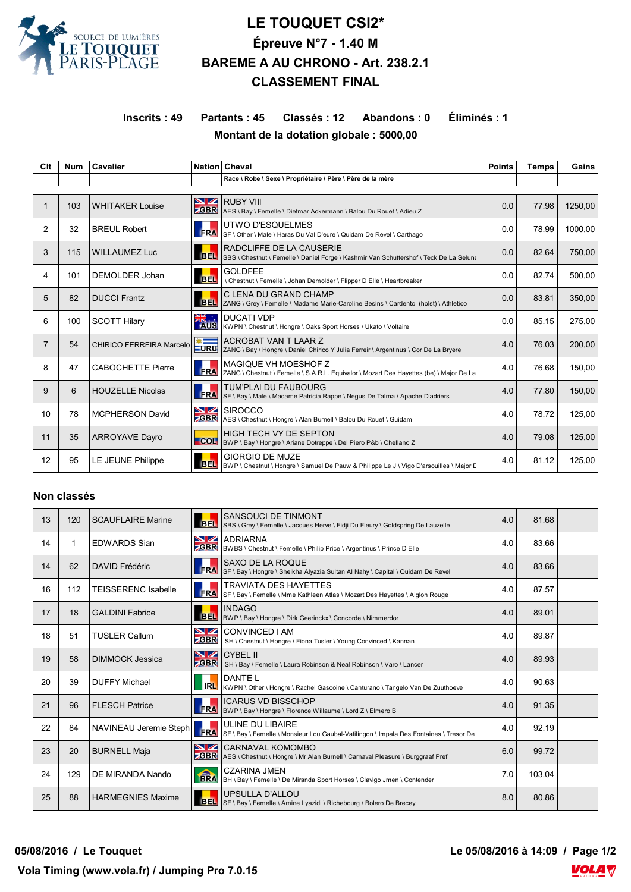

# **LE TOUQUET CSI2\* Épreuve N°7 - 1.40 M BAREME A AU CHRONO - Art. 238.2.1 CLASSEMENT FINAL**

**Inscrits : 49 Partants : 45 Classés : 12 Abandons : 0 Éliminés : 1 Montant de la dotation globale : 5000,00**

| Clt            | <b>Num</b> | <b>Cavalier</b>          |                   | Nation Cheval                                                                                                      | <b>Points</b> | <b>Temps</b> | Gains   |  |  |
|----------------|------------|--------------------------|-------------------|--------------------------------------------------------------------------------------------------------------------|---------------|--------------|---------|--|--|
|                |            |                          |                   | Race \ Robe \ Sexe \ Propriétaire \ Père \ Père de la mère                                                         |               |              |         |  |  |
|                |            |                          |                   |                                                                                                                    |               |              |         |  |  |
|                | 103        | <b>WHITAKER Louise</b>   | <b>GBR</b>        | <b>NZ</b> RUBY VIII<br>AES \ Bay \ Femelle \ Dietmar Ackermann \ Balou Du Rouet \ Adieu Z                          | 0.0           | 77.98        | 1250,00 |  |  |
| 2              | 32         | <b>BREUL Robert</b>      | <b>FRA</b>        | UTWO D'ESQUELMES<br>SF \ Other \ Male \ Haras Du Val D'eure \ Quidam De Revel \ Carthago                           | 0.0           | 78.99        | 1000,00 |  |  |
| 3              | 115        | <b>WILLAUMEZ Luc</b>     | <b>BEL</b>        | RADCLIFFE DE LA CAUSERIE<br>SBS \ Chestnut \ Femelle \ Daniel Forge \ Kashmir Van Schuttershof \ Teck De La Selune | 0.0           | 82.64        | 750,00  |  |  |
| 4              | 101        | DEMOLDER Johan           | BEL.              | <b>GOLDFEE</b><br>\ Chestnut \ Femelle \ Johan Demolder \ Flipper D Elle \ Heartbreaker                            | 0.0           | 82.74        | 500,00  |  |  |
| 5              | 82         | <b>DUCCI Frantz</b>      | <b>BEL</b>        | C LENA DU GRAND CHAMP<br>ZANG \ Grey \ Femelle \ Madame Marie-Caroline Besins \ Cardento (holst) \ Athletico       | 0.0           | 83.81        | 350,00  |  |  |
| 6              | 100        | <b>SCOTT Hilary</b>      |                   | <b>DUCATI VDP</b><br>KWPN \ Chestnut \ Hongre \ Oaks Sport Horses \ Ukato \ Voltaire                               | 0.0           | 85.15        | 275,00  |  |  |
| $\overline{7}$ | 54         | CHIRICO FERREIRA Marcelo | <b>SOLUTE</b>     | ACROBAT VAN T LAAR Z<br>ZANG \ Bay \ Hongre \ Daniel Chirico Y Julia Ferreir \ Argentinus \ Cor De La Bryere       | 4.0           | 76.03        | 200,00  |  |  |
| 8              | 47         | <b>CABOCHETTE Pierre</b> | <b>FRA</b>        | MAGIQUE VH MOESHOF Z<br>ZANG \ Chestnut \ Femelle \ S.A.R.L. Equivalor \ Mozart Des Hayettes (be) \ Major De La    | 4.0           | 76.68        | 150,00  |  |  |
| 9              | 6          | <b>HOUZELLE Nicolas</b>  | <b>FRA</b>        | TUM'PLAI DU FAUBOURG<br>SF \ Bay \ Male \ Madame Patricia Rappe \ Negus De Talma \ Apache D'adriers                | 4.0           | 77.80        | 150,00  |  |  |
| 10             | 78         | <b>MCPHERSON David</b>   | NZ<br><b>ZGBR</b> | <b>SIROCCO</b><br>AES \ Chestnut \ Hongre \ Alan Burnell \ Balou Du Rouet \ Guidam                                 | 4.0           | 78.72        | 125,00  |  |  |
| 11             | 35         | <b>ARROYAVE Dayro</b>    | COL               | HIGH TECH VY DE SEPTON<br>BWP \ Bay \ Hongre \ Ariane Dotreppe \ Del Piero P&b \ Chellano Z                        | 4.0           | 79.08        | 125.00  |  |  |
| 12             | 95         | LE JEUNE Philippe        | <b>BEL</b>        | <b>GIORGIO DE MUZE</b><br>BWP \ Chestnut \ Hongre \ Samuel De Pauw & Philippe Le J \ Vigo D'arsouilles \ Major D   | 4.0           | 81.12        | 125,00  |  |  |

#### **Non classés**

| 13 | 120 | <b>SCAUFLAIRE Marine</b>   | <b>BEL</b>              | <b>SANSOUCI DE TINMONT</b><br>SBS \ Grey \ Femelle \ Jacques Herve \ Fidji Du Fleury \ Goldspring De Lauzelle | 4.0 | 81.68  |  |
|----|-----|----------------------------|-------------------------|---------------------------------------------------------------------------------------------------------------|-----|--------|--|
| 14 | 1   | <b>EDWARDS Sian</b>        | VZ                      | <b>ADRIARNA</b><br><b>CBR</b> BWBS \ Chestnut \ Femelle \ Philip Price \ Argentinus \ Prince D Elle           | 4.0 | 83.66  |  |
| 14 | 62  | <b>DAVID Frédéric</b>      | <b>FRA</b>              | SAXO DE LA ROQUE<br>SF \ Bay \ Hongre \ Sheikha Alyazia Sultan Al Nahy \ Capital \ Quidam De Revel            | 4.0 | 83.66  |  |
| 16 | 112 | <b>TEISSERENC Isabelle</b> | <b>FRA</b>              | <b>TRAVIATA DES HAYETTES</b><br>SF \ Bay \ Femelle \ Mme Kathleen Atlas \ Mozart Des Hayettes \ Aiglon Rouge  | 4.0 | 87.57  |  |
| 17 | 18  | <b>GALDINI Fabrice</b>     |                         | <b>INDAGO</b><br>BEL  BWP \ Bay \ Hongre \ Dirk Geerinckx \ Concorde \ Nimmerdor                              | 4.0 | 89.01  |  |
| 18 | 51  | <b>TUSLER Callum</b>       | <b>NZ</b><br><b>GBR</b> | CONVINCED I AM<br>ISH \ Chestnut \ Hongre \ Fiona Tusler \ Young Convinced \ Kannan                           | 4.0 | 89.87  |  |
| 19 | 58  | <b>DIMMOCK Jessica</b>     | <u>NZ</u><br><b>GBR</b> | CYBEL II<br>ISH \ Bay \ Femelle \ Laura Robinson & Neal Robinson \ Varo \ Lancer                              | 4.0 | 89.93  |  |
| 20 | 39  | <b>DUFFY Michael</b>       | <b>IRL</b>              | <b>DANTEL</b><br>KWPN \ Other \ Hongre \ Rachel Gascoine \ Canturano \ Tangelo Van De Zuuthoeve               | 4.0 | 90.63  |  |
| 21 | 96  | <b>FLESCH Patrice</b>      | <b>FRA</b>              | <b>ICARUS VD BISSCHOP</b><br>BWP \ Bay \ Hongre \ Florence Willaume \ Lord Z \ Elmero B                       | 4.0 | 91.35  |  |
| 22 | 84  | NAVINEAU Jeremie Steph     | <b>FRA</b>              | ULINE DU LIBAIRE<br>SF \ Bay \ Femelle \ Monsieur Lou Gaubal-Vatilingon \ Impala Des Fontaines \ Tresor De    | 4.0 | 92.19  |  |
| 23 | 20  | <b>BURNELL Maja</b>        | NZ<br><b>GBR</b>        | CARNAVAL KOMOMBO<br>AES \ Chestnut \ Hongre \ Mr Alan Burnell \ Carnaval Pleasure \ Burggraaf Pref            | 6.0 | 99.72  |  |
| 24 | 129 | DE MIRANDA Nando           | <b>ERA</b>              | <b>CZARINA JMEN</b><br>BH \ Bay \ Femelle \ De Miranda Sport Horses \ Clavigo Jmen \ Contender                | 7.0 | 103.04 |  |
| 25 | 88  | <b>HARMEGNIES Maxime</b>   | BEL <sup>I</sup>        | <b>UPSULLA D'ALLOU</b><br>SF \ Bay \ Femelle \ Amine Lyazidi \ Richebourg \ Bolero De Brecey                  | 8.0 | 80.86  |  |

**05/08/2016 / Le Touquet Le 05/08/2016 à 14:09 / Page 1/2**